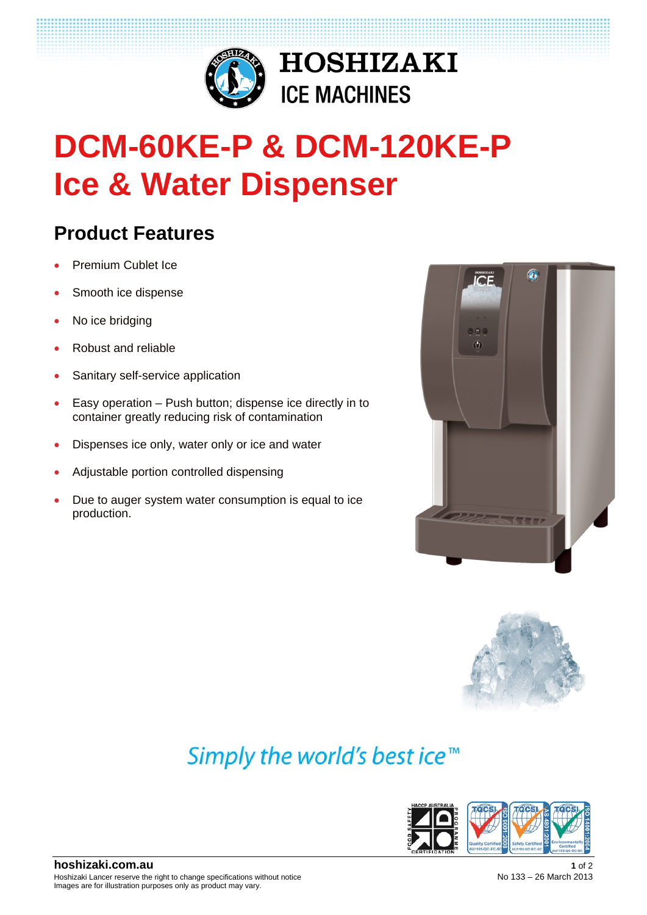

# **DCM-60KE-P & DCM-120KE-P Ice & Water Dispenser**

**HOSHIZAKI** 

**ICE MACHINES** 

## **Product Features**

- Premium Cublet Ice
- Smooth ice dispense
- No ice bridging
- Robust and reliable
- Sanitary self-service application
- Easy operation Push button; dispense ice directly in to container greatly reducing risk of contamination
- Dispenses ice only, water only or ice and water
- Adjustable portion controlled dispensing
- Due to auger system water consumption is equal to ice production.





## Simply the world's best ice<sup>™</sup>